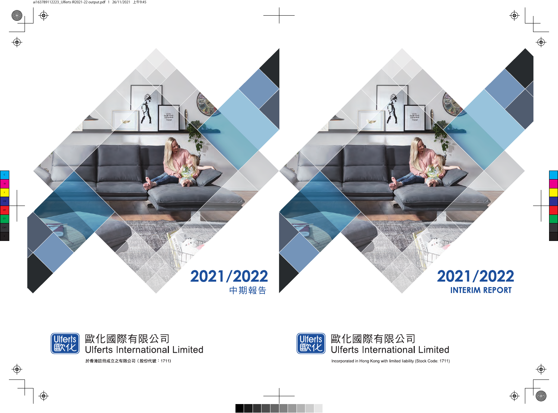



Incorporated in Hong Kong with limited liability (Stock Code: 1711)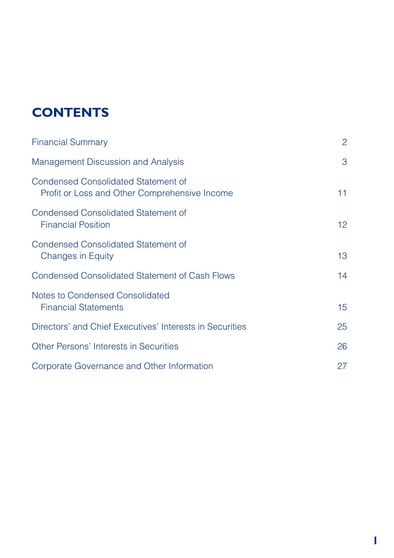# **CONTENTS**

| <b>Financial Summary</b>                                                             | $\overline{c}$  |
|--------------------------------------------------------------------------------------|-----------------|
| Management Discussion and Analysis                                                   | 3               |
| Condensed Consolidated Statement of<br>Profit or Loss and Other Comprehensive Income | 11              |
| <b>Condensed Consolidated Statement of</b><br><b>Financial Position</b>              | 12 <sup>2</sup> |
| <b>Condensed Consolidated Statement of</b><br><b>Changes in Equity</b>               | 13              |
| Condensed Consolidated Statement of Cash Flows                                       | 14              |
| Notes to Condensed Consolidated<br><b>Financial Statements</b>                       | 15              |
| Directors' and Chief Executives' Interests in Securities                             | 25              |
| Other Persons' Interests in Securities                                               | 26              |
| Corporate Governance and Other Information                                           | 27              |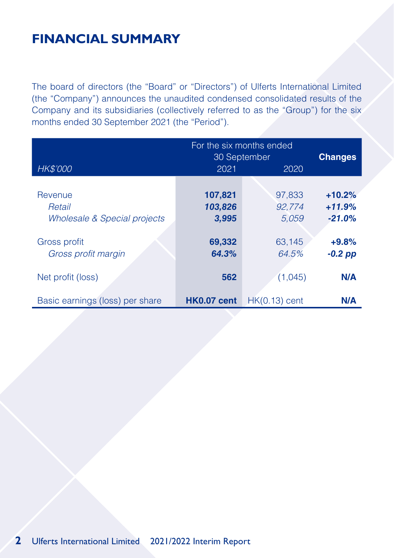# **FINANCIAL SUMMARY**

The board of directors (the "Board" or "Directors") of Ulferts International Limited (the "Company") announces the unaudited condensed consolidated results of the Company and its subsidiaries (collectively referred to as the "Group") for the six months ended 30 September 2021 (the "Period").

|                                 | For the six months ended<br>30 September |                 | <b>Changes</b> |
|---------------------------------|------------------------------------------|-----------------|----------------|
| HK\$'000                        | 2021                                     | 2020            |                |
| Revenue                         | 107,821                                  | 97.833          | $+10.2%$       |
| Retail                          | 103,826                                  | 92.774          | $+11.9%$       |
| Wholesale & Special projects    | 3,995                                    | 5.059           | $-21.0%$       |
| Gross profit                    | 69,332                                   | 63,145          | $+9.8%$        |
| Gross profit margin             | 64.3%                                    | 64.5%           | $-0.2$ pp      |
| Net profit (loss)               | 562                                      | (1,045)         | N/A            |
| Basic earnings (loss) per share | <b>HK0.07 cent</b>                       | $HK(0.13)$ cent | N/A            |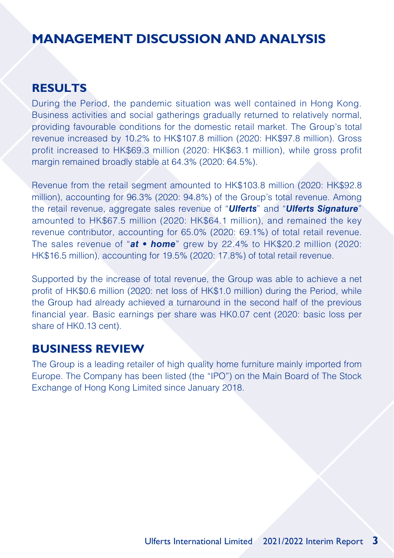### **RESULTS**

During the Period, the pandemic situation was well contained in Hong Kong. Business activities and social gatherings gradually returned to relatively normal, providing favourable conditions for the domestic retail market. The Group's total revenue increased by 10.2% to HK\$107.8 million (2020: HK\$97.8 million). Gross profit increased to HK\$69.3 million (2020: HK\$63.1 million), while gross profit margin remained broadly stable at 64.3% (2020: 64.5%).

Revenue from the retail segment amounted to HK\$103.8 million (2020: HK\$92.8 million), accounting for 96.3% (2020: 94.8%) of the Group's total revenue. Among the retail revenue, aggregate sales revenue of "*Ulferts*" and "*Ulferts Signature*" amounted to HK\$67.5 million (2020: HK\$64.1 million), and remained the key revenue contributor, accounting for 65.0% (2020: 69.1%) of total retail revenue. The sales revenue of "*at • home*" grew by 22.4% to HK\$20.2 million (2020: HK\$16.5 million), accounting for 19.5% (2020: 17.8%) of total retail revenue.

Supported by the increase of total revenue, the Group was able to achieve a net profit of HK\$0.6 million (2020: net loss of HK\$1.0 million) during the Period, while the Group had already achieved a turnaround in the second half of the previous financial year. Basic earnings per share was HK0.07 cent (2020: basic loss per share of HK0.13 cent).

#### **BUSINESS REVIEW**

The Group is a leading retailer of high quality home furniture mainly imported from Europe. The Company has been listed (the "IPO") on the Main Board of The Stock Exchange of Hong Kong Limited since January 2018.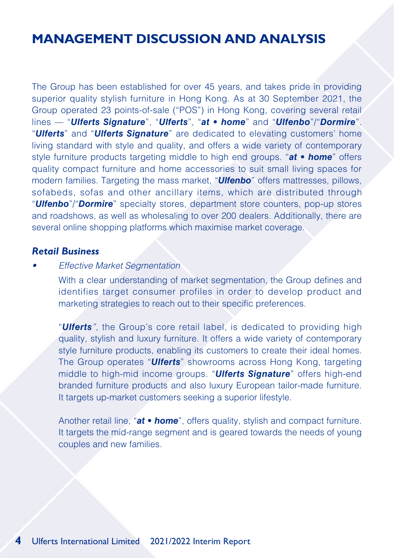The Group has been established for over 45 years, and takes pride in providing superior quality stylish furniture in Hong Kong. As at 30 September 2021, the Group operated 23 points-of-sale ("POS") in Hong Kong, covering several retail lines — "*Ulferts Signature*", "*Ulferts*", "*at • home*" and "*Ulfenbo*"/"*Dormire*". "*Ulferts*" and "*Ulferts Signature*" are dedicated to elevating customers' home living standard with style and quality, and offers a wide variety of contemporary style furniture products targeting middle to high end groups. "*at • home*" offers quality compact furniture and home accessories to suit small living spaces for modern families. Targeting the mass market, "*Ulfenbo*" offers mattresses, pillows, sofabeds, sofas and other ancillary items, which are distributed through "*Ulfenbo*"/"*Dormire*" specialty stores, department store counters, pop-up stores and roadshows, as well as wholesaling to over 200 dealers. Additionally, there are several online shopping platforms which maximise market coverage.

#### *Retail Business*

*• Effective Market Segmentation*

With a clear understanding of market segmentation, the Group defines and identifies target consumer profiles in order to develop product and marketing strategies to reach out to their specific preferences.

"*Ulferts"*, the Group's core retail label, is dedicated to providing high quality, stylish and luxury furniture. It offers a wide variety of contemporary style furniture products, enabling its customers to create their ideal homes. The Group operates "*Ulferts*" showrooms across Hong Kong, targeting middle to high-mid income groups. "*Ulferts Signature*" offers high-end branded furniture products and also luxury European tailor-made furniture. It targets up-market customers seeking a superior lifestyle.

Another retail line, "*at • home*", offers quality, stylish and compact furniture. It targets the mid-range segment and is geared towards the needs of young couples and new families.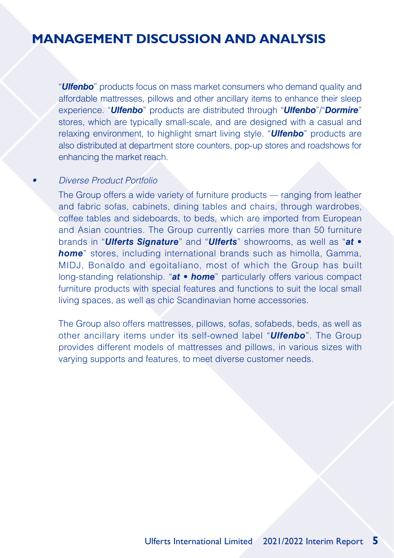"*Ulfenbo*" products focus on mass market consumers who demand quality and affordable mattresses, pillows and other ancillary items to enhance their sleep experience. "*Ulfenbo*" products are distributed through "*Ulfenbo*"/"*Dormire*" stores, which are typically small-scale, and are designed with a casual and relaxing environment, to highlight smart living style. "*Ulfenbo*" products are also distributed at department store counters, pop-up stores and roadshows for enhancing the market reach.

#### *• Diverse Product Portfolio*

The Group offers a wide variety of furniture products — ranging from leather and fabric sofas, cabinets, dining tables and chairs, through wardrobes, coffee tables and sideboards, to beds, which are imported from European and Asian countries. The Group currently carries more than 50 furniture brands in "*Ulferts Signature*" and "*Ulferts*" showrooms, as well as "*at • home*" stores, including international brands such as himolla, Gamma, MIDJ, Bonaldo and egoitaliano, most of which the Group has built long-standing relationship. "*at • home*" particularly offers various compact furniture products with special features and functions to suit the local small living spaces, as well as chic Scandinavian home accessories.

The Group also offers mattresses, pillows, sofas, sofabeds, beds, as well as other ancillary items under its self-owned label "*Ulfenbo*". The Group provides different models of mattresses and pillows, in various sizes with varying supports and features, to meet diverse customer needs.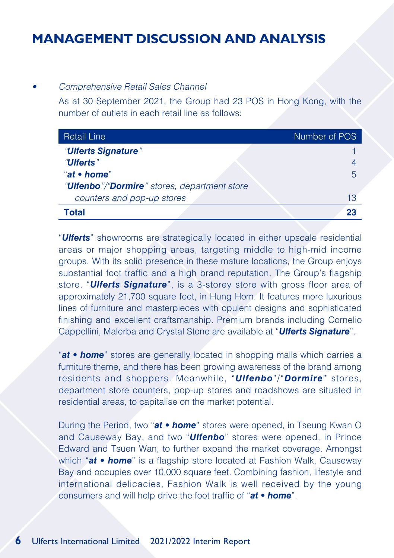#### *• Comprehensive Retail Sales Channel*

As at 30 September 2021, the Group had 23 POS in Hong Kong, with the number of outlets in each retail line as follows:

| <b>Retail Line</b>                                    | Number of POS |
|-------------------------------------------------------|---------------|
| "Ulferts Signature"                                   |               |
| "Ulferts"                                             |               |
| "at • home"                                           | 5             |
| " <b>Ulfenbo</b> "/"Dormire" stores, department store |               |
| counters and pop-up stores                            | 13            |
| Total                                                 | 23            |

"*Ulferts*" showrooms are strategically located in either upscale residential areas or major shopping areas, targeting middle to high-mid income groups. With its solid presence in these mature locations, the Group enjoys substantial foot traffic and a high brand reputation. The Group's flagship store, "*Ulferts Signature*", is a 3-storey store with gross floor area of approximately 21,700 square feet, in Hung Hom. It features more luxurious lines of furniture and masterpieces with opulent designs and sophisticated finishing and excellent craftsmanship. Premium brands including Cornelio Cappellini, Malerba and Crystal Stone are available at "*Ulferts Signature*".

"*at • home*" stores are generally located in shopping malls which carries a furniture theme, and there has been growing awareness of the brand among residents and shoppers. Meanwhile, "*Ulfenbo*"/"*Dormire*" stores, department store counters, pop-up stores and roadshows are situated in residential areas, to capitalise on the market potential.

During the Period, two "*at • home*" stores were opened, in Tseung Kwan O and Causeway Bay, and two "*Ulfenbo*" stores were opened, in Prince Edward and Tsuen Wan, to further expand the market coverage. Amongst which "*at • home*" is a flagship store located at Fashion Walk, Causeway Bay and occupies over 10,000 square feet. Combining fashion, lifestyle and international delicacies, Fashion Walk is well received by the young consumers and will help drive the foot traffic of "*at • home*".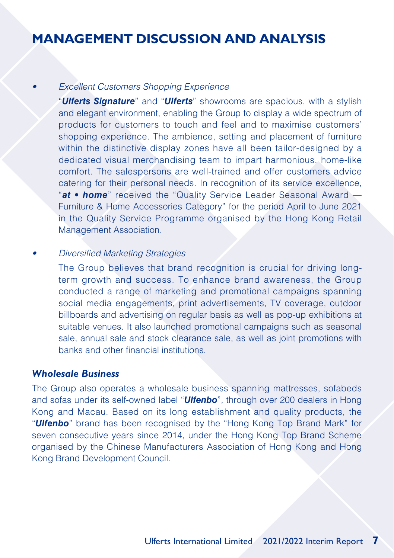#### *• Excellent Customers Shopping Experience*

"*Ulferts Signature*" and "*Ulferts*" showrooms are spacious, with a stylish and elegant environment, enabling the Group to display a wide spectrum of products for customers to touch and feel and to maximise customers' shopping experience. The ambience, setting and placement of furniture within the distinctive display zones have all been tailor-designed by a dedicated visual merchandising team to impart harmonious, home-like comfort. The salespersons are well-trained and offer customers advice catering for their personal needs. In recognition of its service excellence, "*at • home*" received the "Quality Service Leader Seasonal Award — Furniture & Home Accessories Category" for the period April to June 2021 in the Quality Service Programme organised by the Hong Kong Retail Management Association.

#### *• Diversified Marketing Strategies*

The Group believes that brand recognition is crucial for driving longterm growth and success. To enhance brand awareness, the Group conducted a range of marketing and promotional campaigns spanning social media engagements, print advertisements, TV coverage, outdoor billboards and advertising on regular basis as well as pop-up exhibitions at suitable venues. It also launched promotional campaigns such as seasonal sale, annual sale and stock clearance sale, as well as joint promotions with banks and other financial institutions.

#### *Wholesale Business*

The Group also operates a wholesale business spanning mattresses, sofabeds and sofas under its self-owned label "*Ulfenbo*"*,* through over 200 dealers in Hong Kong and Macau. Based on its long establishment and quality products, the "*Ulfenbo*" brand has been recognised by the "Hong Kong Top Brand Mark" for seven consecutive years since 2014, under the Hong Kong Top Brand Scheme organised by the Chinese Manufacturers Association of Hong Kong and Hong Kong Brand Development Council.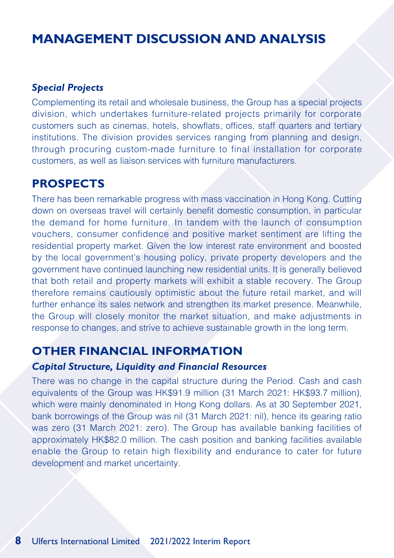#### *Special Projects*

Complementing its retail and wholesale business, the Group has a special projects division, which undertakes furniture-related projects primarily for corporate customers such as cinemas, hotels, showflats, offices, staff quarters and tertiary institutions. The division provides services ranging from planning and design, through procuring custom-made furniture to final installation for corporate customers, as well as liaison services with furniture manufacturers.

#### **PROSPECTS**

There has been remarkable progress with mass vaccination in Hong Kong. Cutting down on overseas travel will certainly benefit domestic consumption, in particular the demand for home furniture. In tandem with the launch of consumption vouchers, consumer confidence and positive market sentiment are lifting the residential property market. Given the low interest rate environment and boosted by the local government's housing policy, private property developers and the government have continued launching new residential units. It is generally believed that both retail and property markets will exhibit a stable recovery. The Group therefore remains cautiously optimistic about the future retail market, and will further enhance its sales network and strengthen its market presence. Meanwhile, the Group will closely monitor the market situation, and make adjustments in response to changes, and strive to achieve sustainable growth in the long term.

#### **OTHER FINANCIAL INFORMATION**

#### *Capital Structure, Liquidity and Financial Resources*

There was no change in the capital structure during the Period. Cash and cash equivalents of the Group was HK\$91.9 million (31 March 2021: HK\$93.7 million), which were mainly denominated in Hong Kong dollars. As at 30 September 2021, bank borrowings of the Group was nil (31 March 2021: nil), hence its gearing ratio was zero (31 March 2021: zero). The Group has available banking facilities of approximately HK\$82.0 million. The cash position and banking facilities available enable the Group to retain high flexibility and endurance to cater for future development and market uncertainty.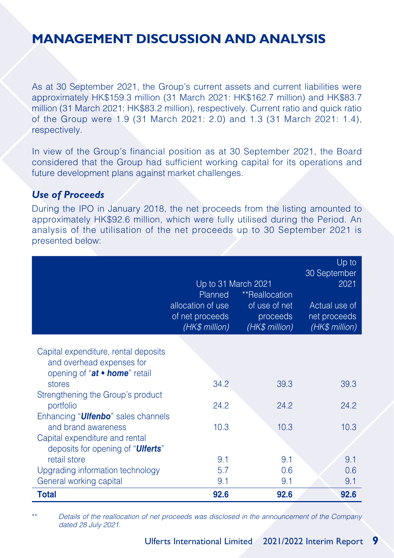As at 30 September 2021, the Group's current assets and current liabilities were approximately HK\$159.3 million (31 March 2021: HK\$162.7 million) and HK\$83.7 million (31 March 2021: HK\$83.2 million), respectively. Current ratio and quick ratio of the Group were 1.9 (31 March 2021: 2.0) and 1.3 (31 March 2021: 1.4), respectively.

In view of the Group's financial position as at 30 September 2021, the Board considered that the Group had sufficient working capital for its operations and future development plans against market challenges.

#### *Use of Proceeds*

During the IPO in January 2018, the net proceeds from the listing amounted to approximately HK\$92.6 million, which were fully utilised during the Period. An analysis of the utilisation of the net proceeds up to 30 September 2021 is presented below:

|                                                                    | Up to 31 March 2021<br>Planned<br>allocation of use<br>of net proceeds<br>(HK\$ million) | **Reallocation<br>of use of net<br>proceeds<br>(HK\$ million) | Up to<br>30 September<br>2021<br>Actual use of<br>net proceeds<br>(HK\$ million) |
|--------------------------------------------------------------------|------------------------------------------------------------------------------------------|---------------------------------------------------------------|----------------------------------------------------------------------------------|
| Capital expenditure, rental deposits                               |                                                                                          |                                                               |                                                                                  |
| and overhead expenses for                                          |                                                                                          |                                                               |                                                                                  |
| opening of "at • home" retail<br>stores                            | 34.2                                                                                     | 39.3                                                          | 39.3                                                                             |
| Strengthening the Group's product                                  |                                                                                          |                                                               |                                                                                  |
| portfolio                                                          | 24.2                                                                                     | 24.2                                                          | 24.2                                                                             |
| Enhancing " <b>Ulfenbo</b> " sales channels<br>and brand awareness | 10.3                                                                                     | 10.3                                                          | 10.3                                                                             |
| Capital expenditure and rental                                     |                                                                                          |                                                               |                                                                                  |
| deposits for opening of " <b>Ulferts</b> "                         |                                                                                          |                                                               |                                                                                  |
| retail store                                                       | 9.1                                                                                      | 9.1                                                           | 9.1                                                                              |
| Upgrading information technology                                   | 5.7                                                                                      | 0.6                                                           | 0.6                                                                              |
| General working capital                                            | 9.1                                                                                      | 9.1                                                           | 9.1                                                                              |
| <b>Total</b>                                                       | 92.6                                                                                     | 92.6                                                          | 92.6                                                                             |

\*\* *Details of the reallocation of net proceeds was disclosed in the announcement of the Company dated 28 July 2021.*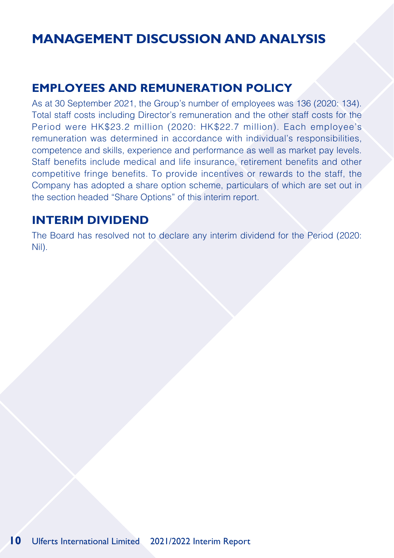### **EMPLOYEES AND REMUNERATION POLICY**

As at 30 September 2021, the Group's number of employees was 136 (2020: 134). Total staff costs including Director's remuneration and the other staff costs for the Period were HK\$23.2 million (2020: HK\$22.7 million). Each employee's remuneration was determined in accordance with individual's responsibilities, competence and skills, experience and performance as well as market pay levels. Staff benefits include medical and life insurance, retirement benefits and other competitive fringe benefits. To provide incentives or rewards to the staff, the Company has adopted a share option scheme, particulars of which are set out in the section headed "Share Options" of this interim report.

### **INTERIM DIVIDEND**

The Board has resolved not to declare any interim dividend for the Period (2020: Nil).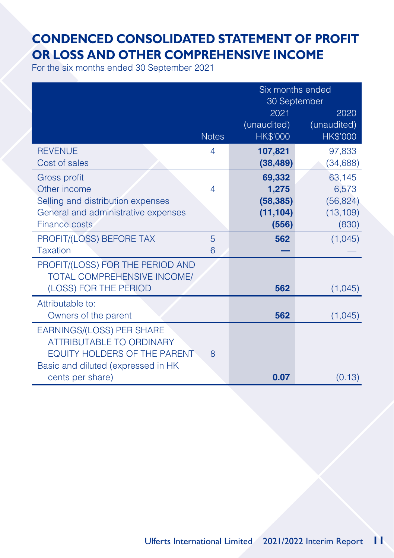## **CONDENCED CONSOLIDATED STATEMENT OF PROFIT OR LOSS AND OTHER COMPREHENSIVE INCOME**

For the six months ended 30 September 2021

|                                     |              | Six months ended<br>30 September |                 |  |
|-------------------------------------|--------------|----------------------------------|-----------------|--|
|                                     |              | 2021                             | 2020            |  |
|                                     |              | (unaudited)                      | (unaudited)     |  |
|                                     | <b>Notes</b> | <b>HK\$'000</b>                  | <b>HK\$'000</b> |  |
| <b>REVENUE</b>                      | 4            | 107,821                          | 97,833          |  |
| Cost of sales                       |              | (38, 489)                        | (34, 688)       |  |
| Gross profit                        |              | 69,332                           | 63,145          |  |
| Other income                        | 4            | 1,275                            | 6,573           |  |
| Selling and distribution expenses   |              | (58, 385)                        | (56, 824)       |  |
| General and administrative expenses |              | (11, 104)                        | (13, 109)       |  |
| Finance costs                       |              | (556)                            | (830)           |  |
| PROFIT/(LOSS) BEFORE TAX            | 5            | 562                              | (1,045)         |  |
| <b>Taxation</b>                     | 6            |                                  |                 |  |
| PROFIT/(LOSS) FOR THE PERIOD AND    |              |                                  |                 |  |
| TOTAL COMPREHENSIVE INCOME/         |              |                                  |                 |  |
| (LOSS) FOR THE PERIOD               |              | 562                              | (1,045)         |  |
| Attributable to:                    |              |                                  |                 |  |
| Owners of the parent                |              | 562                              | (1,045)         |  |
| EARNINGS/(LOSS) PER SHARE           |              |                                  |                 |  |
| <b>ATTRIBUTABLE TO ORDINARY</b>     |              |                                  |                 |  |
| EQUITY HOLDERS OF THE PARENT        | 8            |                                  |                 |  |
| Basic and diluted (expressed in HK  |              |                                  |                 |  |
| cents per share)                    |              | 0.07                             | (0.13)          |  |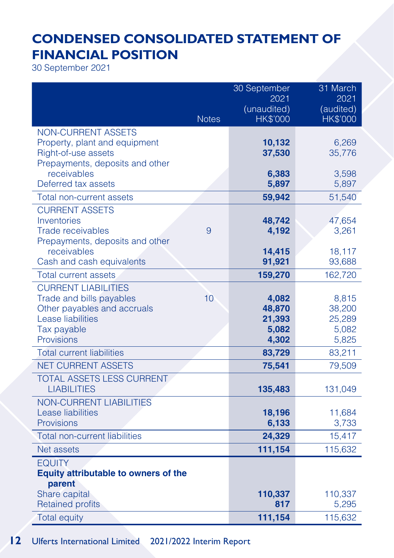# **CONDENSED CONSOLIDATED STATEMENT OF FINANCIAL POSITION**

30 September 2021

|                                                             |              | 30 September        | 31 March          |
|-------------------------------------------------------------|--------------|---------------------|-------------------|
|                                                             |              | 2021<br>(unaudited) | 2021<br>(audited) |
|                                                             | <b>Notes</b> | <b>HK\$'000</b>     | <b>HK\$'000</b>   |
| NON-CURRENT ASSETS                                          |              |                     |                   |
| Property, plant and equipment                               |              | 10,132              | 6,269             |
| Right-of-use assets<br>Prepayments, deposits and other      |              | 37,530              | 35,776            |
| receivables                                                 |              | 6,383               | 3,598             |
| Deferred tax assets                                         |              | 5,897               | 5,897             |
| Total non-current assets                                    |              | 59,942              | 51,540            |
| <b>CURRENT ASSETS</b>                                       |              |                     |                   |
| Inventories                                                 |              | 48,742              | 47,654            |
| <b>Trade receivables</b><br>Prepayments, deposits and other | 9            | 4,192               | 3,261             |
| receivables                                                 |              | 14,415              | 18,117            |
| Cash and cash equivalents                                   |              | 91,921              | 93,688            |
| <b>Total current assets</b>                                 |              | 159,270             | 162,720           |
| <b>CURRENT LIABILITIES</b>                                  |              |                     |                   |
| Trade and bills payables                                    | 10           | 4,082               | 8,815             |
| Other payables and accruals<br>Lease liabilities            |              | 48,870<br>21,393    | 38,200<br>25,289  |
| Tax payable                                                 |              | 5,082               | 5,082             |
| Provisions                                                  |              | 4,302               | 5,825             |
| <b>Total current liabilities</b>                            |              | 83,729              | 83,211            |
| NET CURRENT ASSETS                                          |              | 75,541              | 79,509            |
| TOTAL ASSETS LESS CURRENT                                   |              |                     |                   |
| <b>LIABILITIES</b>                                          |              | 135,483             | 131,049           |
| NON-CURRENT LIABILITIES                                     |              |                     |                   |
| Lease liabilities<br>Provisions                             |              | 18,196<br>6,133     | 11,684<br>3,733   |
| <b>Total non-current liabilities</b>                        |              | 24,329              | 15,417            |
| <b>Net assets</b>                                           |              | 111,154             | 115,632           |
| <b>EQUITY</b>                                               |              |                     |                   |
| <b>Equity attributable to owners of the</b>                 |              |                     |                   |
| parent                                                      |              |                     |                   |
| Share capital                                               |              | 110,337             | 110,337           |
| <b>Retained profits</b>                                     |              | 817                 | 5,295             |
| <b>Total equity</b>                                         |              | 111,154             | 115,632           |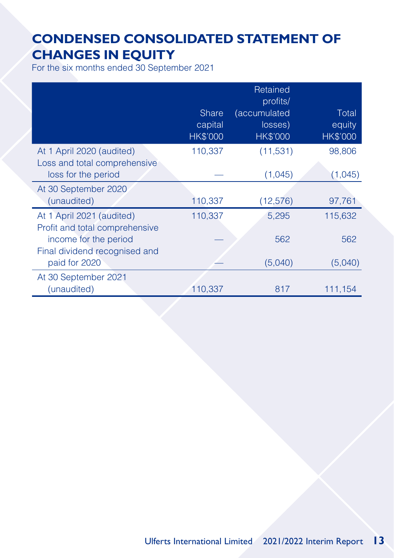## **CONDENSED CONSOLIDATED STATEMENT OF CHANGES IN EQUITY**

For the six months ended 30 September 2021

|                                                                                  | <b>Share</b><br>capital<br><b>HK\$'000</b> | Retained<br>profits/<br>(accumulated<br>losses)<br><b>HK\$'000</b> | Total<br>equity<br><b>HK\$'000</b> |
|----------------------------------------------------------------------------------|--------------------------------------------|--------------------------------------------------------------------|------------------------------------|
| At 1 April 2020 (audited)<br>Loss and total comprehensive<br>loss for the period | 110,337                                    | (11,531)<br>(1,045)                                                | 98,806<br>(1,045)                  |
| At 30 September 2020<br>(unaudited)                                              | 110,337                                    | (12, 576)                                                          | 97,761                             |
| At 1 April 2021 (audited)<br>Profit and total comprehensive                      | 110,337                                    | 5,295                                                              | 115,632                            |
| income for the period<br>Final dividend recognised and<br>paid for 2020          |                                            | 562<br>(5,040)                                                     | 562<br>(5,040)                     |
| At 30 September 2021<br>(unaudited)                                              | 110.337                                    | 817                                                                | 111,154                            |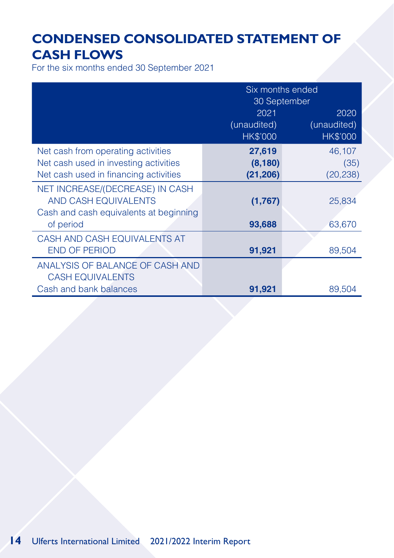## **CONDENSED CONSOLIDATED STATEMENT OF CASH FLOWS**

For the six months ended 30 September 2021

|                                                                                                   | Six months ended<br>30 September |                                |  |
|---------------------------------------------------------------------------------------------------|----------------------------------|--------------------------------|--|
|                                                                                                   | 2021                             | 2020                           |  |
|                                                                                                   | (unaudited)<br><b>HK\$'000</b>   | (unaudited)<br><b>HK\$'000</b> |  |
| Net cash from operating activities                                                                | 27,619                           | 46,107                         |  |
| Net cash used in investing activities                                                             | (8, 180)                         | (35)                           |  |
| Net cash used in financing activities                                                             | (21, 206)                        | (20, 238)                      |  |
| NET INCREASE/(DECREASE) IN CASH<br>AND CASH EQUIVALENTS<br>Cash and cash equivalents at beginning | (1,767)                          | 25,834                         |  |
| of period                                                                                         | 93,688                           | 63,670                         |  |
| CASH AND CASH EQUIVALENTS AT                                                                      |                                  |                                |  |
| <b>END OF PERIOD</b>                                                                              | 91,921                           | 89,504                         |  |
| ANALYSIS OF BALANCE OF CASH AND<br><b>CASH EQUIVALENTS</b>                                        |                                  |                                |  |
| Cash and bank balances                                                                            | 91,921                           | 89,504                         |  |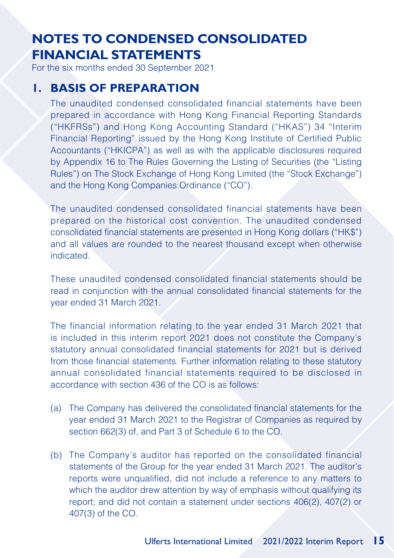For the six months ended 30 September 2021

#### **1. BASIS OF PREPARATION**

The unaudited condensed consolidated financial statements have been prepared in accordance with Hong Kong Financial Reporting Standards ("HKFRSs") and Hong Kong Accounting Standard ("HKAS") 34 "Interim Financial Reporting" issued by the Hong Kong Institute of Certified Public Accountants ("HKICPA") as well as with the applicable disclosures required by Appendix 16 to The Rules Governing the Listing of Securities (the "Listing Rules") on The Stock Exchange of Hong Kong Limited (the "Stock Exchange") and the Hong Kong Companies Ordinance ("CO").

The unaudited condensed consolidated financial statements have been prepared on the historical cost convention. The unaudited condensed consolidated financial statements are presented in Hong Kong dollars ("HK\$") and all values are rounded to the nearest thousand except when otherwise indicated.

These unaudited condensed consolidated financial statements should be read in conjunction with the annual consolidated financial statements for the year ended 31 March 2021.

The financial information relating to the year ended 31 March 2021 that is included in this interim report 2021 does not constitute the Company's statutory annual consolidated financial statements for 2021 but is derived from those financial statements. Further information relating to these statutory annual consolidated financial statements required to be disclosed in accordance with section 436 of the CO is as follows:

- (a) The Company has delivered the consolidated financial statements for the year ended 31 March 2021 to the Registrar of Companies as required by section 662(3) of, and Part 3 of Schedule 6 to the CO.
- (b) The Company's auditor has reported on the consolidated financial statements of the Group for the year ended 31 March 2021. The auditor's reports were unqualified, did not include a reference to any matters to which the auditor drew attention by way of emphasis without qualifying its report; and did not contain a statement under sections 406(2), 407(2) or 407(3) of the CO.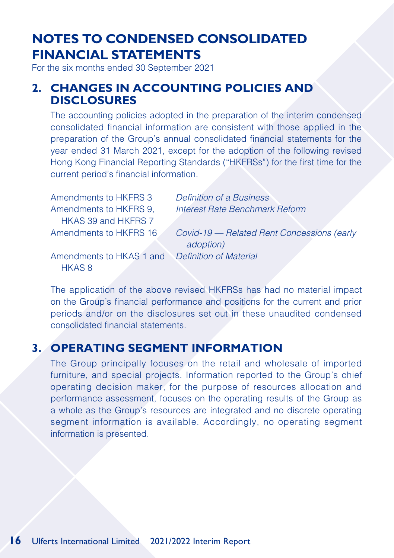For the six months ended 30 September 2021

#### **2. CHANGES IN ACCOUNTING POLICIES AND DISCLOSURES**

The accounting policies adopted in the preparation of the interim condensed consolidated financial information are consistent with those applied in the preparation of the Group's annual consolidated financial statements for the year ended 31 March 2021, except for the adoption of the following revised Hong Kong Financial Reporting Standards ("HKFRSs") for the first time for the current period's financial information.

Amendments to HKFRS 3 *Definition of a Business* Amendments to HKFRS 9, HKAS 39 and HKFRS 7

*Interest Rate Benchmark Reform*

Amendments to HKFRS 16 *Covid-19 — Related Rent Concessions (early* 

Amendments to HKAS 1 and *Definition of Material* HKAS 8

*adoption)*

The application of the above revised HKFRSs has had no material impact on the Group's financial performance and positions for the current and prior periods and/or on the disclosures set out in these unaudited condensed consolidated financial statements.

### **3. OPERATING SEGMENT INFORMATION**

The Group principally focuses on the retail and wholesale of imported furniture, and special projects. Information reported to the Group's chief operating decision maker, for the purpose of resources allocation and performance assessment, focuses on the operating results of the Group as a whole as the Group's resources are integrated and no discrete operating segment information is available. Accordingly, no operating segment information is presented.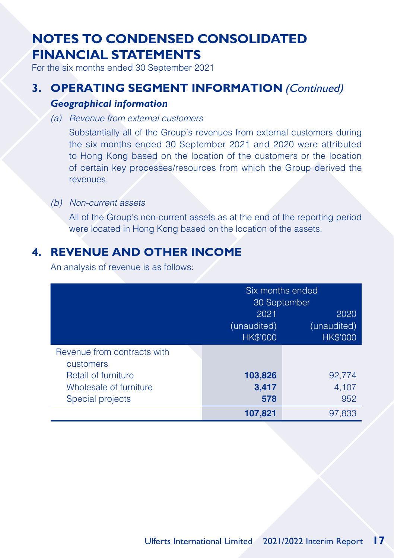For the six months ended 30 September 2021

### **3. OPERATING SEGMENT INFORMATION** (Continued)

#### *Geographical information*

*(a) Revenue from external customers*

Substantially all of the Group's revenues from external customers during the six months ended 30 September 2021 and 2020 were attributed to Hong Kong based on the location of the customers or the location of certain key processes/resources from which the Group derived the revenues.

#### *(b) Non-current assets*

All of the Group's non-current assets as at the end of the reporting period were located in Hong Kong based on the location of the assets.

### **4. REVENUE AND OTHER INCOME**

An analysis of revenue is as follows:

|                             | Six months ended             |                 |  |
|-----------------------------|------------------------------|-----------------|--|
|                             | 30 September<br>2021<br>2020 |                 |  |
|                             |                              |                 |  |
|                             | (unaudited)                  | (unaudited)     |  |
|                             | <b>HK\$'000</b>              | <b>HK\$'000</b> |  |
| Revenue from contracts with |                              |                 |  |
| customers                   |                              |                 |  |
| Retail of furniture         | 103,826                      | 92,774          |  |
| Wholesale of furniture      | 3,417                        | 4,107           |  |
| Special projects            | 578                          | 952             |  |
|                             | 107,821                      | 97,833          |  |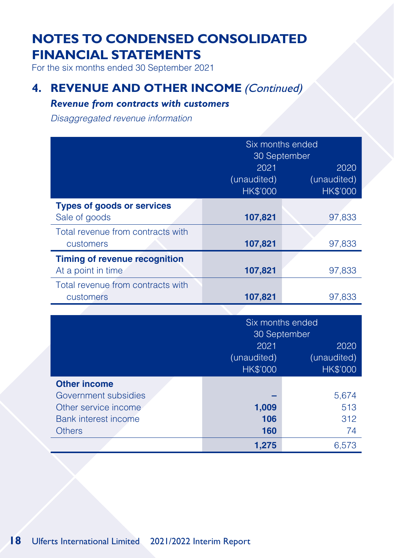For the six months ended 30 September 2021

### **4. REVENUE AND OTHER INCOME (Continued)**

#### *Revenue from contracts with customers*

*Disaggregated revenue information*

|                                                            | Six months ended<br>30 September       |                                        |  |
|------------------------------------------------------------|----------------------------------------|----------------------------------------|--|
|                                                            | 2021<br>(unaudited)<br><b>HK\$'000</b> | 2020<br>(unaudited)<br><b>HK\$'000</b> |  |
| <b>Types of goods or services</b><br>Sale of goods         | 107,821                                | 97,833                                 |  |
| Total revenue from contracts with<br>customers             | 107,821                                | 97,833                                 |  |
| <b>Timing of revenue recognition</b><br>At a point in time | 107,821                                | 97,833                                 |  |
| Total revenue from contracts with<br>customers             | 107,821                                | 97,833                                 |  |

|                      | Six months ended                   |             |  |
|----------------------|------------------------------------|-------------|--|
|                      | 30 September                       |             |  |
|                      | 2021                               | 2020        |  |
|                      | (unaudited)                        | (unaudited) |  |
|                      | <b>HK\$'000</b><br><b>HK\$'000</b> |             |  |
| <b>Other income</b>  |                                    |             |  |
| Government subsidies |                                    | 5,674       |  |
| Other service income | 1,009                              | 513         |  |
| Bank interest income | 106                                | 312         |  |
| <b>Others</b>        | 160                                | 74          |  |
|                      | 1.275                              | 6.573       |  |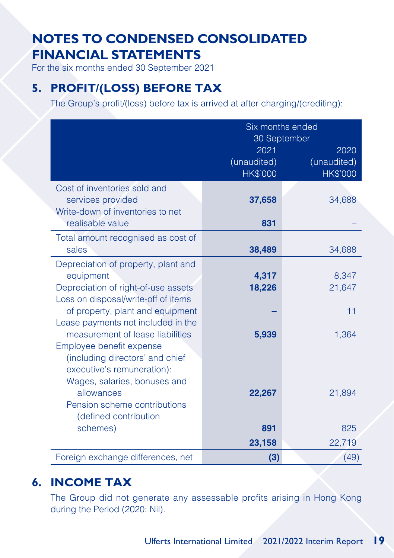For the six months ended 30 September 2021

### **5. PROFIT/(LOSS) BEFORE TAX**

The Group's profit/(loss) before tax is arrived at after charging/(crediting):

|                                                                        | Six months ended<br>30 September |                 |
|------------------------------------------------------------------------|----------------------------------|-----------------|
|                                                                        | 2021                             | 2020            |
|                                                                        | (unaudited)                      | (unaudited)     |
|                                                                        | HK\$'000                         | <b>HK\$'000</b> |
| Cost of inventories sold and                                           |                                  |                 |
| services provided<br>Write-down of inventories to net                  | 37,658                           | 34,688          |
| realisable value                                                       | 831                              |                 |
| Total amount recognised as cost of                                     |                                  |                 |
| sales                                                                  | 38,489                           | 34,688          |
| Depreciation of property, plant and                                    |                                  |                 |
| equipment                                                              | 4,317                            | 8,347           |
| Depreciation of right-of-use assets                                    | 18,226                           | 21,647          |
| Loss on disposal/write-off of items                                    |                                  |                 |
| of property, plant and equipment<br>Lease payments not included in the |                                  | 11              |
| measurement of lease liabilities                                       | 5,939                            | 1,364           |
| Employee benefit expense                                               |                                  |                 |
| (including directors' and chief                                        |                                  |                 |
| executive's remuneration):                                             |                                  |                 |
| Wages, salaries, bonuses and                                           |                                  |                 |
| allowances                                                             | 22,267                           | 21,894          |
| Pension scheme contributions                                           |                                  |                 |
| (defined contribution<br>schemes)                                      | 891                              | 825             |
|                                                                        | 23,158                           | 22,719          |
|                                                                        |                                  |                 |
| Foreign exchange differences, net                                      | (3)                              | (49)            |

### **6. INCOME TAX**

The Group did not generate any assessable profits arising in Hong Kong during the Period (2020: Nil).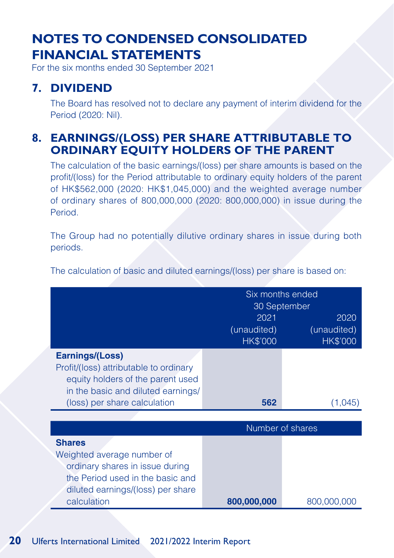For the six months ended 30 September 2021

### **7. DIVIDEND**

The Board has resolved not to declare any payment of interim dividend for the Period (2020: Nil).

### **8. EARNINGS/(LOSS) PER SHARE ATTRIBUTABLE TO ORDINARY EQUITY HOLDERS OF THE PARENT**

The calculation of the basic earnings/(loss) per share amounts is based on the profit/(loss) for the Period attributable to ordinary equity holders of the parent of HK\$562,000 (2020: HK\$1,045,000) and the weighted average number of ordinary shares of 800,000,000 (2020: 800,000,000) in issue during the Period.

The Group had no potentially dilutive ordinary shares in issue during both periods.

The calculation of basic and diluted earnings/(loss) per share is based on:

|                                                                                                                                                                        | Six months ended<br>30 September<br>2021<br>2020<br>(unaudited)<br>(unaudited)<br>HK\$'000<br>HK\$'000 |                  |  |
|------------------------------------------------------------------------------------------------------------------------------------------------------------------------|--------------------------------------------------------------------------------------------------------|------------------|--|
| <b>Earnings/(Loss)</b><br>Profit/(loss) attributable to ordinary<br>equity holders of the parent used<br>in the basic and diluted earnings/                            |                                                                                                        |                  |  |
| (loss) per share calculation                                                                                                                                           | 562                                                                                                    | (1.045)          |  |
|                                                                                                                                                                        |                                                                                                        |                  |  |
|                                                                                                                                                                        |                                                                                                        | Number of shares |  |
| <b>Shares</b><br>Weighted average number of<br>ordinary shares in issue during<br>the Period used in the basic and<br>diluted earnings/(loss) per share<br>calculation | 800,000,000                                                                                            | 800,000,000      |  |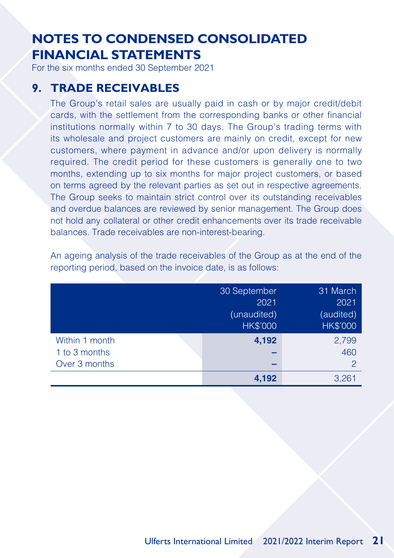For the six months ended 30 September 2021

### **9. TRADE RECEIVABLES**

The Group's retail sales are usually paid in cash or by major credit/debit cards, with the settlement from the corresponding banks or other financial institutions normally within 7 to 30 days. The Group's trading terms with its wholesale and project customers are mainly on credit, except for new customers, where payment in advance and/or upon delivery is normally required. The credit period for these customers is generally one to two months, extending up to six months for major project customers, or based on terms agreed by the relevant parties as set out in respective agreements. The Group seeks to maintain strict control over its outstanding receivables and overdue balances are reviewed by senior management. The Group does not hold any collateral or other credit enhancements over its trade receivable balances. Trade receivables are non-interest-bearing.

An ageing analysis of the trade receivables of the Group as at the end of the reporting period, based on the invoice date, is as follows:

|                | 30 September    |                 |
|----------------|-----------------|-----------------|
|                | 2021            | 2021            |
|                | (unaudited)     | (audited)       |
|                | <b>HK\$'000</b> | <b>HK\$'000</b> |
| Within 1 month | 4,192           | 2,799           |
| 1 to 3 months  |                 | 460             |
| Over 3 months  |                 | $\mathcal P$    |
|                | 4,192           | 3.261           |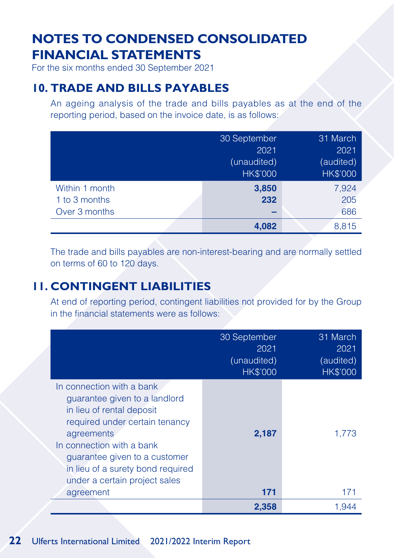For the six months ended 30 September 2021

### **10. TRADE AND BILLS PAYABLES**

An ageing analysis of the trade and bills payables as at the end of the reporting period, based on the invoice date, is as follows:

|                | 30 September    |                 |
|----------------|-----------------|-----------------|
|                | 2021            | 2021            |
|                | (unaudited)     | (audited)       |
|                | <b>HK\$'000</b> | <b>HK\$'000</b> |
| Within 1 month | 3,850           | 7,924           |
| 1 to 3 months  | 232             | 205             |
| Over 3 months  |                 | 686             |
|                | 4,082           | 8.815           |

The trade and bills payables are non-interest-bearing and are normally settled on terms of 60 to 120 days.

### **11. CONTINGENT LIABILITIES**

At end of reporting period, contingent liabilities not provided for by the Group in the financial statements were as follows:

|                                                                                                                                                                                                                                                                                          | 30 September<br>2021<br>(unaudited)<br><b>HK\$'000</b> | 31 March<br>2021<br>(audited)<br>HK\$'000 |
|------------------------------------------------------------------------------------------------------------------------------------------------------------------------------------------------------------------------------------------------------------------------------------------|--------------------------------------------------------|-------------------------------------------|
| In connection with a bank<br>guarantee given to a landlord<br>in lieu of rental deposit<br>required under certain tenancy<br>agreements<br>In connection with a bank<br>guarantee given to a customer<br>in lieu of a surety bond required<br>under a certain project sales<br>agreement | 2,187<br>171                                           | 1,773<br>171                              |
|                                                                                                                                                                                                                                                                                          | 2,358                                                  | 1,944                                     |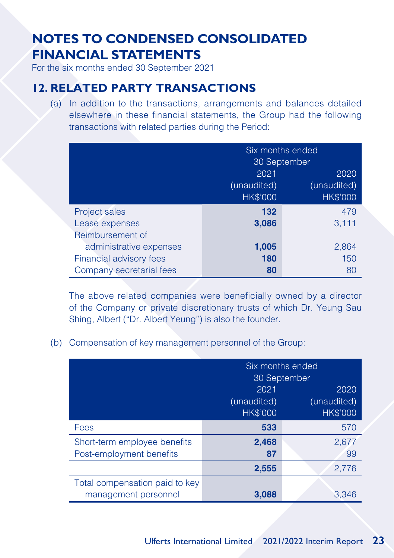For the six months ended 30 September 2021

### **12. RELATED PARTY TRANSACTIONS**

(a) In addition to the transactions, arrangements and balances detailed elsewhere in these financial statements, the Group had the following transactions with related parties during the Period:

|                          | Six months ended |                 |  |
|--------------------------|------------------|-----------------|--|
|                          | 30 September     |                 |  |
|                          | 2021             | 2020            |  |
|                          | (unaudited)      | (unaudited)     |  |
|                          | <b>HK\$'000</b>  | <b>HK\$'000</b> |  |
| Project sales            | 132              | 479             |  |
| Lease expenses           | 3,086            | 3,111           |  |
| Reimbursement of         |                  |                 |  |
| administrative expenses  | 1,005            | 2,864           |  |
| Financial advisory fees  | 180              | 150             |  |
| Company secretarial fees | 80               | 80              |  |

The above related companies were beneficially owned by a director of the Company or private discretionary trusts of which Dr. Yeung Sau Shing, Albert ("Dr. Albert Yeung") is also the founder.

(b) Compensation of key management personnel of the Group:

|                                                          | Six months ended<br>30 September                                                 |             |
|----------------------------------------------------------|----------------------------------------------------------------------------------|-------------|
|                                                          | 2021<br>2020<br>(unaudited)<br>(unaudited)<br><b>HK\$'000</b><br><b>HK\$'000</b> |             |
| Fees                                                     | 533                                                                              | 570         |
| Short-term employee benefits<br>Post-employment benefits | 2,468<br>87                                                                      | 2,677<br>99 |
|                                                          | 2,555                                                                            | 2,776       |
| Total compensation paid to key<br>management personnel   | 3,088                                                                            | 3,346       |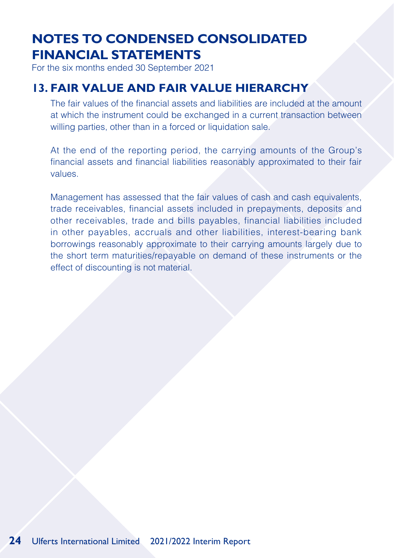For the six months ended 30 September 2021

### **13. FAIR VALUE AND FAIR VALUE HIERARCHY**

The fair values of the financial assets and liabilities are included at the amount at which the instrument could be exchanged in a current transaction between willing parties, other than in a forced or liquidation sale.

At the end of the reporting period, the carrying amounts of the Group's financial assets and financial liabilities reasonably approximated to their fair values.

Management has assessed that the fair values of cash and cash equivalents, trade receivables, financial assets included in prepayments, deposits and other receivables, trade and bills payables, financial liabilities included in other payables, accruals and other liabilities, interest-bearing bank borrowings reasonably approximate to their carrying amounts largely due to the short term maturities/repayable on demand of these instruments or the effect of discounting is not material.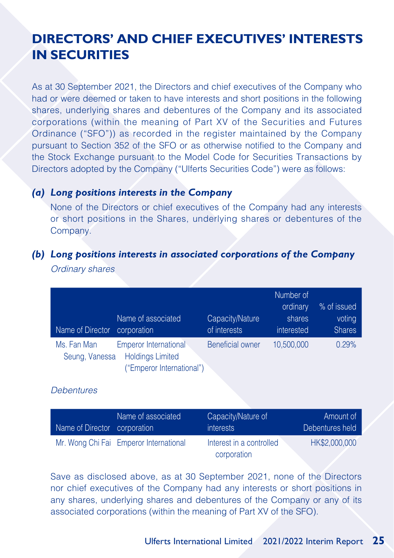## **DIRECTORS' AND CHIEF EXECUTIVES' INTERESTS IN SECURITIES**

As at 30 September 2021, the Directors and chief executives of the Company who had or were deemed or taken to have interests and short positions in the following shares, underlying shares and debentures of the Company and its associated corporations (within the meaning of Part XV of the Securities and Futures Ordinance ("SFO")) as recorded in the register maintained by the Company pursuant to Section 352 of the SFO or as otherwise notified to the Company and the Stock Exchange pursuant to the Model Code for Securities Transactions by Directors adopted by the Company ("Ulferts Securities Code") were as follows:

#### *(a) Long positions interests in the Company*

None of the Directors or chief executives of the Company had any interests or short positions in the Shares, underlying shares or debentures of the Company.

#### *(b) Long positions interests in associated corporations of the Company*

*Ordinary shares*

| Name of Director              | Name of associated<br>corporation                                                    | Capacity/Nature<br>of interests | Number of<br>ordinary<br>shares<br>interested | % of issued<br>voting<br><b>Shares</b> |
|-------------------------------|--------------------------------------------------------------------------------------|---------------------------------|-----------------------------------------------|----------------------------------------|
| Ms. Fan Man<br>Seung, Vanessa | <b>Emperor International</b><br><b>Holdings Limited</b><br>("Emperor International") | <b>Beneficial owner</b>         | 10,500,000                                    | 0.29%                                  |

#### *Debentures*

| Name of Director corporation | Name of associated                     | Capacity/Nature of<br><i>interests</i>  | Amount of<br>Debentures held |
|------------------------------|----------------------------------------|-----------------------------------------|------------------------------|
|                              | Mr. Wong Chi Fai Emperor International | Interest in a controlled<br>corporation | HK\$2,000,000                |

Save as disclosed above, as at 30 September 2021, none of the Directors nor chief executives of the Company had any interests or short positions in any shares, underlying shares and debentures of the Company or any of its associated corporations (within the meaning of Part XV of the SFO).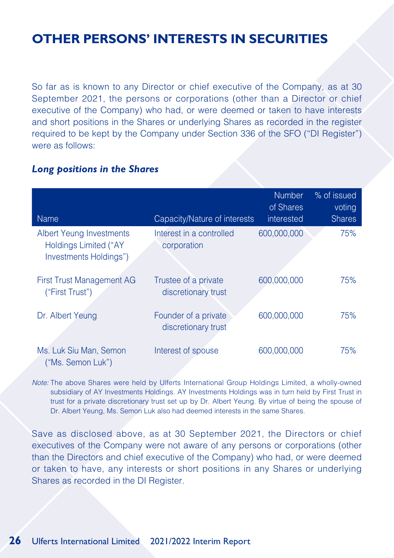## **OTHER PERSONS' INTERESTS IN SECURITIES**

So far as is known to any Director or chief executive of the Company, as at 30 September 2021, the persons or corporations (other than a Director or chief executive of the Company) who had, or were deemed or taken to have interests and short positions in the Shares or underlying Shares as recorded in the register required to be kept by the Company under Section 336 of the SFO ("DI Register") were as follows:

#### *Long positions in the Shares*

| <b>Name</b>                                                                               | Capacity/Nature of interests                | <b>Number</b><br>of Shares<br>interested | % of issued<br>voting<br><b>Shares</b> |
|-------------------------------------------------------------------------------------------|---------------------------------------------|------------------------------------------|----------------------------------------|
| <b>Albert Yeung Investments</b><br><b>Holdings Limited ("AY</b><br>Investments Holdings") | Interest in a controlled<br>corporation     | 600,000,000                              | 75%                                    |
| <b>First Trust Management AG</b><br>("First Trust")                                       | Trustee of a private<br>discretionary trust | 600,000,000                              | 75%                                    |
| Dr. Albert Yeung                                                                          | Founder of a private<br>discretionary trust | 600,000,000                              | 75%                                    |
| Ms. Luk Siu Man, Semon<br>("Ms. Semon Luk")                                               | Interest of spouse                          | 600,000,000                              | 75%                                    |

*Note:* The above Shares were held by Ulferts International Group Holdings Limited, a wholly-owned subsidiary of AY Investments Holdings. AY Investments Holdings was in turn held by First Trust in trust for a private discretionary trust set up by Dr. Albert Yeung. By virtue of being the spouse of Dr. Albert Yeung, Ms. Semon Luk also had deemed interests in the same Shares.

Save as disclosed above, as at 30 September 2021, the Directors or chief executives of the Company were not aware of any persons or corporations (other than the Directors and chief executive of the Company) who had, or were deemed or taken to have, any interests or short positions in any Shares or underlying Shares as recorded in the DI Register.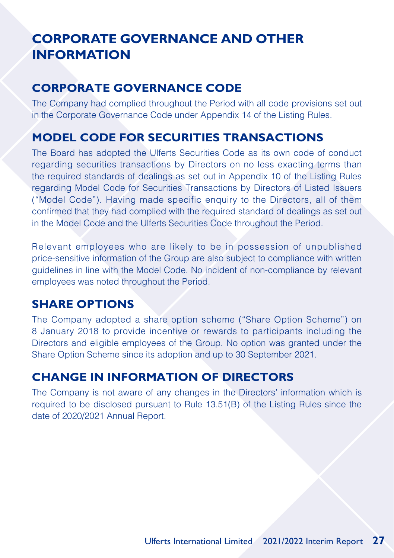# **CORPORATE GOVERNANCE AND OTHER INFORMATION**

### **CORPORATE GOVERNANCE CODE**

The Company had complied throughout the Period with all code provisions set out in the Corporate Governance Code under Appendix 14 of the Listing Rules.

### **MODEL CODE FOR SECURITIES TRANSACTIONS**

The Board has adopted the Ulferts Securities Code as its own code of conduct regarding securities transactions by Directors on no less exacting terms than the required standards of dealings as set out in Appendix 10 of the Listing Rules regarding Model Code for Securities Transactions by Directors of Listed Issuers ("Model Code"). Having made specific enquiry to the Directors, all of them confirmed that they had complied with the required standard of dealings as set out in the Model Code and the Ulferts Securities Code throughout the Period.

Relevant employees who are likely to be in possession of unpublished price-sensitive information of the Group are also subject to compliance with written guidelines in line with the Model Code. No incident of non-compliance by relevant employees was noted throughout the Period.

### **SHARE OPTIONS**

The Company adopted a share option scheme ("Share Option Scheme") on 8 January 2018 to provide incentive or rewards to participants including the Directors and eligible employees of the Group. No option was granted under the Share Option Scheme since its adoption and up to 30 September 2021.

### **CHANGE IN INFORMATION OF DIRECTORS**

The Company is not aware of any changes in the Directors' information which is required to be disclosed pursuant to Rule 13.51(B) of the Listing Rules since the date of 2020/2021 Annual Report.